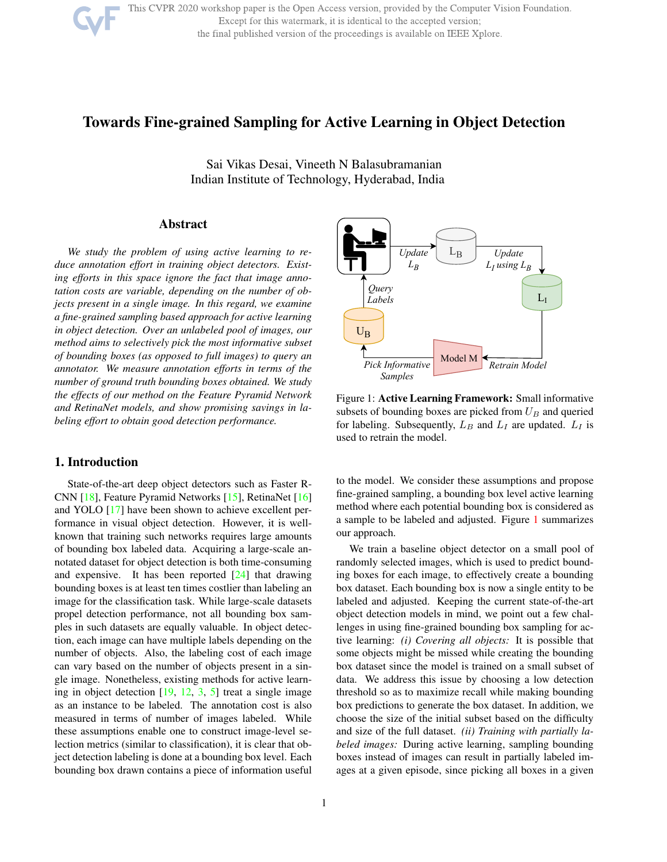

# Towards Fine-grained Sampling for Active Learning in Object Detection

Sai Vikas Desai, Vineeth N Balasubramanian Indian Institute of Technology, Hyderabad, India

# Abstract

*We study the problem of using active learning to reduce annotation effort in training object detectors. Existing efforts in this space ignore the fact that image annotation costs are variable, depending on the number of objects present in a single image. In this regard, we examine a fine-grained sampling based approach for active learning in object detection. Over an unlabeled pool of images, our method aims to selectively pick the most informative subset of bounding boxes (as opposed to full images) to query an annotator. We measure annotation efforts in terms of the number of ground truth bounding boxes obtained. We study the effects of our method on the Feature Pyramid Network and RetinaNet models, and show promising savings in labeling effort to obtain good detection performance.*

### 1. Introduction

State-of-the-art deep object detectors such as Faster R-CNN [18], Feature Pyramid Networks [15], RetinaNet [16] and YOLO [17] have been shown to achieve excellent performance in visual object detection. However, it is wellknown that training such networks requires large amounts of bounding box labeled data. Acquiring a large-scale annotated dataset for object detection is both time-consuming and expensive. It has been reported [24] that drawing bounding boxes is at least ten times costlier than labeling an image for the classification task. While large-scale datasets propel detection performance, not all bounding box samples in such datasets are equally valuable. In object detection, each image can have multiple labels depending on the number of objects. Also, the labeling cost of each image can vary based on the number of objects present in a single image. Nonetheless, existing methods for active learning in object detection [19, 12, 3, 5] treat a single image as an instance to be labeled. The annotation cost is also measured in terms of number of images labeled. While these assumptions enable one to construct image-level selection metrics (similar to classification), it is clear that object detection labeling is done at a bounding box level. Each bounding box drawn contains a piece of information useful



Figure 1: Active Learning Framework: Small informative subsets of bounding boxes are picked from  $U_B$  and queried for labeling. Subsequently,  $L_B$  and  $L_I$  are updated.  $L_I$  is used to retrain the model.

to the model. We consider these assumptions and propose fine-grained sampling, a bounding box level active learning method where each potential bounding box is considered as a sample to be labeled and adjusted. Figure 1 summarizes our approach.

We train a baseline object detector on a small pool of randomly selected images, which is used to predict bounding boxes for each image, to effectively create a bounding box dataset. Each bounding box is now a single entity to be labeled and adjusted. Keeping the current state-of-the-art object detection models in mind, we point out a few challenges in using fine-grained bounding box sampling for active learning: *(i) Covering all objects:* It is possible that some objects might be missed while creating the bounding box dataset since the model is trained on a small subset of data. We address this issue by choosing a low detection threshold so as to maximize recall while making bounding box predictions to generate the box dataset. In addition, we choose the size of the initial subset based on the difficulty and size of the full dataset. *(ii) Training with partially labeled images:* During active learning, sampling bounding boxes instead of images can result in partially labeled images at a given episode, since picking all boxes in a given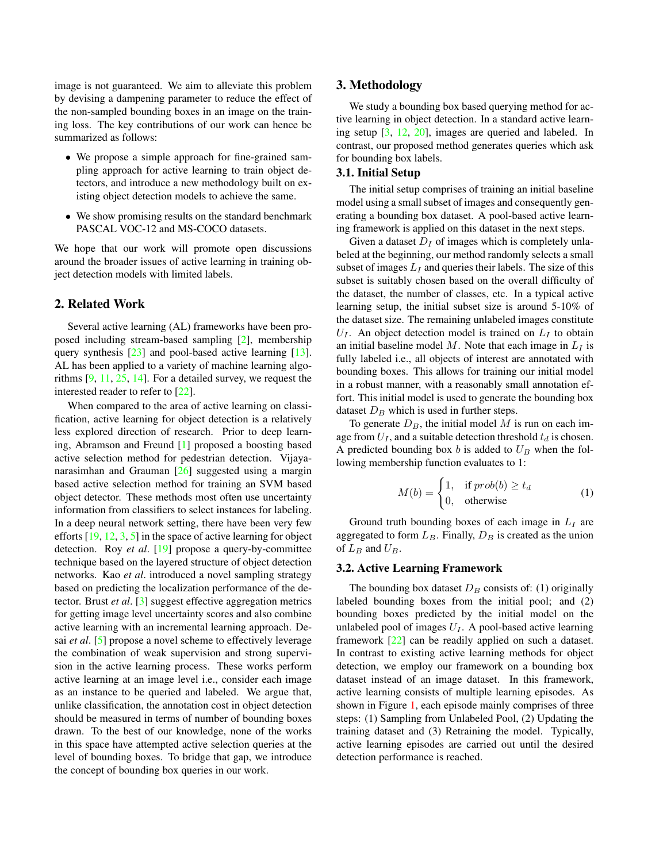image is not guaranteed. We aim to alleviate this problem by devising a dampening parameter to reduce the effect of the non-sampled bounding boxes in an image on the training loss. The key contributions of our work can hence be summarized as follows:

- We propose a simple approach for fine-grained sampling approach for active learning to train object detectors, and introduce a new methodology built on existing object detection models to achieve the same.
- We show promising results on the standard benchmark PASCAL VOC-12 and MS-COCO datasets.

We hope that our work will promote open discussions around the broader issues of active learning in training object detection models with limited labels.

# 2. Related Work

Several active learning (AL) frameworks have been proposed including stream-based sampling [2], membership query synthesis [23] and pool-based active learning [13]. AL has been applied to a variety of machine learning algorithms [9, 11, 25, 14]. For a detailed survey, we request the interested reader to refer to [22].

When compared to the area of active learning on classification, active learning for object detection is a relatively less explored direction of research. Prior to deep learning, Abramson and Freund [1] proposed a boosting based active selection method for pedestrian detection. Vijayanarasimhan and Grauman [26] suggested using a margin based active selection method for training an SVM based object detector. These methods most often use uncertainty information from classifiers to select instances for labeling. In a deep neural network setting, there have been very few efforts [19, 12, 3, 5] in the space of active learning for object detection. Roy *et al*. [19] propose a query-by-committee technique based on the layered structure of object detection networks. Kao *et al*. introduced a novel sampling strategy based on predicting the localization performance of the detector. Brust *et al*. [3] suggest effective aggregation metrics for getting image level uncertainty scores and also combine active learning with an incremental learning approach. Desai *et al*. [5] propose a novel scheme to effectively leverage the combination of weak supervision and strong supervision in the active learning process. These works perform active learning at an image level i.e., consider each image as an instance to be queried and labeled. We argue that, unlike classification, the annotation cost in object detection should be measured in terms of number of bounding boxes drawn. To the best of our knowledge, none of the works in this space have attempted active selection queries at the level of bounding boxes. To bridge that gap, we introduce the concept of bounding box queries in our work.

#### 3. Methodology

We study a bounding box based querying method for active learning in object detection. In a standard active learning setup [3, 12, 20], images are queried and labeled. In contrast, our proposed method generates queries which ask for bounding box labels.

# 3.1. Initial Setup

The initial setup comprises of training an initial baseline model using a small subset of images and consequently generating a bounding box dataset. A pool-based active learning framework is applied on this dataset in the next steps.

Given a dataset  $D<sub>I</sub>$  of images which is completely unlabeled at the beginning, our method randomly selects a small subset of images  $L_I$  and queries their labels. The size of this subset is suitably chosen based on the overall difficulty of the dataset, the number of classes, etc. In a typical active learning setup, the initial subset size is around 5-10% of the dataset size. The remaining unlabeled images constitute  $U_I$ . An object detection model is trained on  $L_I$  to obtain an initial baseline model  $M$ . Note that each image in  $L_I$  is fully labeled i.e., all objects of interest are annotated with bounding boxes. This allows for training our initial model in a robust manner, with a reasonably small annotation effort. This initial model is used to generate the bounding box dataset  $D_B$  which is used in further steps.

To generate  $D_B$ , the initial model M is run on each image from  $U_I$ , and a suitable detection threshold  $t_d$  is chosen. A predicted bounding box b is added to  $U_B$  when the following membership function evaluates to 1:

$$
M(b) = \begin{cases} 1, & \text{if } prob(b) \ge t_d \\ 0, & \text{otherwise} \end{cases}
$$
 (1)

Ground truth bounding boxes of each image in  $L_I$  are aggregated to form  $L_B$ . Finally,  $D_B$  is created as the union of  $L_B$  and  $U_B$ .

### 3.2. Active Learning Framework

The bounding box dataset  $D_B$  consists of: (1) originally labeled bounding boxes from the initial pool; and (2) bounding boxes predicted by the initial model on the unlabeled pool of images  $U_I$ . A pool-based active learning framework [22] can be readily applied on such a dataset. In contrast to existing active learning methods for object detection, we employ our framework on a bounding box dataset instead of an image dataset. In this framework, active learning consists of multiple learning episodes. As shown in Figure 1, each episode mainly comprises of three steps: (1) Sampling from Unlabeled Pool, (2) Updating the training dataset and (3) Retraining the model. Typically, active learning episodes are carried out until the desired detection performance is reached.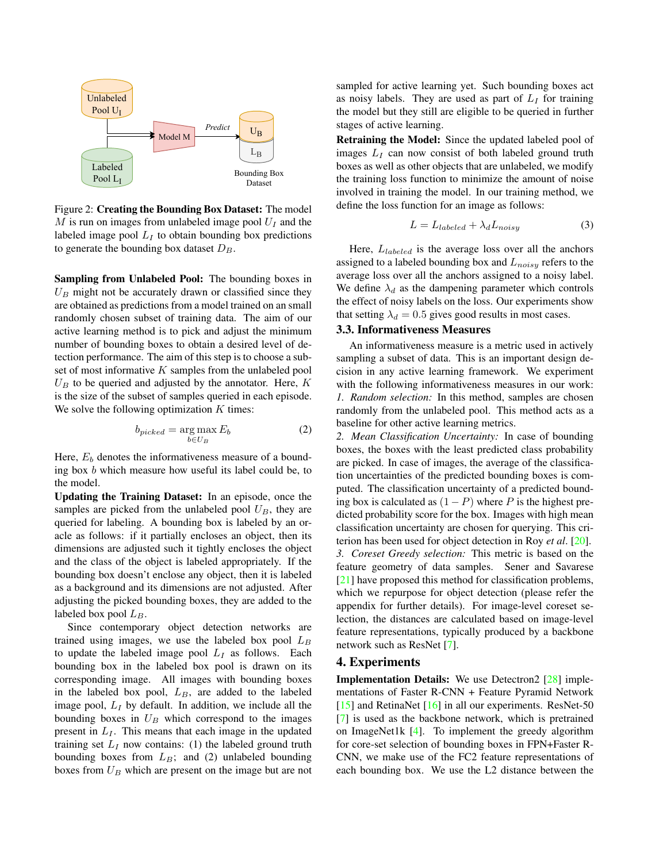

Figure 2: Creating the Bounding Box Dataset: The model M is run on images from unlabeled image pool  $U_I$  and the labeled image pool  $L<sub>I</sub>$  to obtain bounding box predictions to generate the bounding box dataset  $D_B$ .

Sampling from Unlabeled Pool: The bounding boxes in  $U_B$  might not be accurately drawn or classified since they are obtained as predictions from a model trained on an small randomly chosen subset of training data. The aim of our active learning method is to pick and adjust the minimum number of bounding boxes to obtain a desired level of detection performance. The aim of this step is to choose a subset of most informative K samples from the unlabeled pool  $U_B$  to be queried and adjusted by the annotator. Here,  $K$ is the size of the subset of samples queried in each episode. We solve the following optimization  $K$  times:

$$
b_{picked} = \underset{b \in U_B}{\arg \max} E_b \tag{2}
$$

Here,  $E_b$  denotes the informativeness measure of a bounding box b which measure how useful its label could be, to the model.

Updating the Training Dataset: In an episode, once the samples are picked from the unlabeled pool  $U_B$ , they are queried for labeling. A bounding box is labeled by an oracle as follows: if it partially encloses an object, then its dimensions are adjusted such it tightly encloses the object and the class of the object is labeled appropriately. If the bounding box doesn't enclose any object, then it is labeled as a background and its dimensions are not adjusted. After adjusting the picked bounding boxes, they are added to the labeled box pool  $L_B$ .

Since contemporary object detection networks are trained using images, we use the labeled box pool  $L_B$ to update the labeled image pool  $L_I$  as follows. Each bounding box in the labeled box pool is drawn on its corresponding image. All images with bounding boxes in the labeled box pool,  $L_B$ , are added to the labeled image pool,  $L_I$  by default. In addition, we include all the bounding boxes in  $U_B$  which correspond to the images present in  $L_I$ . This means that each image in the updated training set  $L_I$  now contains: (1) the labeled ground truth bounding boxes from  $L_B$ ; and (2) unlabeled bounding boxes from  $U_B$  which are present on the image but are not

sampled for active learning yet. Such bounding boxes act as noisy labels. They are used as part of  $L<sub>I</sub>$  for training the model but they still are eligible to be queried in further stages of active learning.

Retraining the Model: Since the updated labeled pool of images  $L_I$  can now consist of both labeled ground truth boxes as well as other objects that are unlabeled, we modify the training loss function to minimize the amount of noise involved in training the model. In our training method, we define the loss function for an image as follows:

$$
L = L_{labeled} + \lambda_d L_{noisy} \tag{3}
$$

Here,  $L_{labeled}$  is the average loss over all the anchors assigned to a labeled bounding box and  $L_{noisy}$  refers to the average loss over all the anchors assigned to a noisy label. We define  $\lambda_d$  as the dampening parameter which controls the effect of noisy labels on the loss. Our experiments show that setting  $\lambda_d = 0.5$  gives good results in most cases.

#### 3.3. Informativeness Measures

An informativeness measure is a metric used in actively sampling a subset of data. This is an important design decision in any active learning framework. We experiment with the following informativeness measures in our work: *1. Random selection:* In this method, samples are chosen randomly from the unlabeled pool. This method acts as a baseline for other active learning metrics.

*2. Mean Classification Uncertainty:* In case of bounding boxes, the boxes with the least predicted class probability are picked. In case of images, the average of the classification uncertainties of the predicted bounding boxes is computed. The classification uncertainty of a predicted bounding box is calculated as  $(1 - P)$  where P is the highest predicted probability score for the box. Images with high mean classification uncertainty are chosen for querying. This criterion has been used for object detection in Roy *et al*. [20]. *3. Coreset Greedy selection:* This metric is based on the feature geometry of data samples. Sener and Savarese [21] have proposed this method for classification problems, which we repurpose for object detection (please refer the appendix for further details). For image-level coreset selection, the distances are calculated based on image-level feature representations, typically produced by a backbone network such as ResNet [7].

# 4. Experiments

Implementation Details: We use Detectron2 [28] implementations of Faster R-CNN + Feature Pyramid Network [15] and RetinaNet [16] in all our experiments. ResNet-50 [7] is used as the backbone network, which is pretrained on ImageNet1k [4]. To implement the greedy algorithm for core-set selection of bounding boxes in FPN+Faster R-CNN, we make use of the FC2 feature representations of each bounding box. We use the L2 distance between the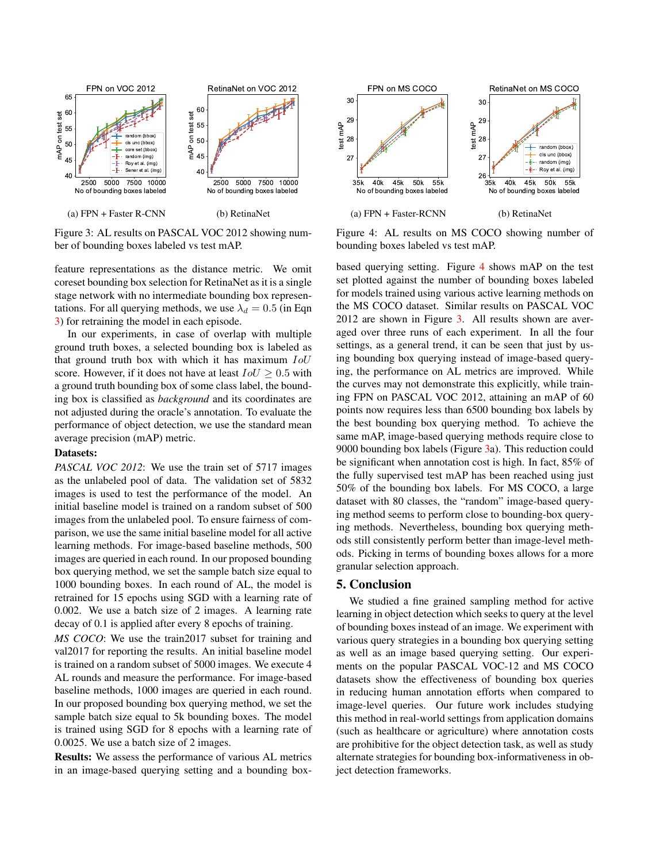

Figure 3: AL results on PASCAL VOC 2012 showing number of bounding boxes labeled vs test mAP.

feature representations as the distance metric. We omit coreset bounding box selection for RetinaNet as it is a single stage network with no intermediate bounding box representations. For all querying methods, we use  $\lambda_d = 0.5$  (in Eqn 3) for retraining the model in each episode.

In our experiments, in case of overlap with multiple ground truth boxes, a selected bounding box is labeled as that ground truth box with which it has maximum  $IoU$ score. However, if it does not have at least  $IoU \ge 0.5$  with a ground truth bounding box of some class label, the bounding box is classified as *background* and its coordinates are not adjusted during the oracle's annotation. To evaluate the performance of object detection, we use the standard mean average precision (mAP) metric.

#### Datasets:

*PASCAL VOC 2012*: We use the train set of 5717 images as the unlabeled pool of data. The validation set of 5832 images is used to test the performance of the model. An initial baseline model is trained on a random subset of 500 images from the unlabeled pool. To ensure fairness of comparison, we use the same initial baseline model for all active learning methods. For image-based baseline methods, 500 images are queried in each round. In our proposed bounding box querying method, we set the sample batch size equal to 1000 bounding boxes. In each round of AL, the model is retrained for 15 epochs using SGD with a learning rate of 0.002. We use a batch size of 2 images. A learning rate decay of 0.1 is applied after every 8 epochs of training.

*MS COCO*: We use the train2017 subset for training and val2017 for reporting the results. An initial baseline model is trained on a random subset of 5000 images. We execute 4 AL rounds and measure the performance. For image-based baseline methods, 1000 images are queried in each round. In our proposed bounding box querying method, we set the sample batch size equal to 5k bounding boxes. The model is trained using SGD for 8 epochs with a learning rate of 0.0025. We use a batch size of 2 images.

Results: We assess the performance of various AL metrics in an image-based querying setting and a bounding box-



Figure 4: AL results on MS COCO showing number of bounding boxes labeled vs test mAP.

based querying setting. Figure 4 shows mAP on the test set plotted against the number of bounding boxes labeled for models trained using various active learning methods on the MS COCO dataset. Similar results on PASCAL VOC 2012 are shown in Figure 3. All results shown are averaged over three runs of each experiment. In all the four settings, as a general trend, it can be seen that just by using bounding box querying instead of image-based querying, the performance on AL metrics are improved. While the curves may not demonstrate this explicitly, while training FPN on PASCAL VOC 2012, attaining an mAP of 60 points now requires less than 6500 bounding box labels by the best bounding box querying method. To achieve the same mAP, image-based querying methods require close to 9000 bounding box labels (Figure 3a). This reduction could be significant when annotation cost is high. In fact, 85% of the fully supervised test mAP has been reached using just 50% of the bounding box labels. For MS COCO, a large dataset with 80 classes, the "random" image-based querying method seems to perform close to bounding-box querying methods. Nevertheless, bounding box querying methods still consistently perform better than image-level methods. Picking in terms of bounding boxes allows for a more granular selection approach.

### 5. Conclusion

We studied a fine grained sampling method for active learning in object detection which seeks to query at the level of bounding boxes instead of an image. We experiment with various query strategies in a bounding box querying setting as well as an image based querying setting. Our experiments on the popular PASCAL VOC-12 and MS COCO datasets show the effectiveness of bounding box queries in reducing human annotation efforts when compared to image-level queries. Our future work includes studying this method in real-world settings from application domains (such as healthcare or agriculture) where annotation costs are prohibitive for the object detection task, as well as study alternate strategies for bounding box-informativeness in object detection frameworks.